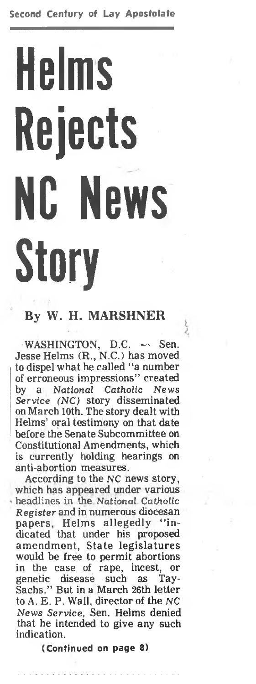# **Helms Rejects NC News Story**

#### **By W. H. MARSHNER**

inter.

WASHINGTON, D.C. - Sen. Jesse Helms (R., N.C.) has moved to dispel what he called "a number of erroneous impressions" created by a *National Catholic News Service (NC)* story disseminated on March 10th. The story dealt with Helms' oral testimony on that date before the Senate Subcommittee on Constitutional Amendments, which is currently holding hearings on anti-abortion measures.

According to the NC news story, which has appeared under various headlines in the National *Catholic Register* and in numerous diocesan papers, Helms allegedly "indicated that under his proposed amendment, State legislatures would be free to permit abortions<br>in the case of rape, incest, or rape, incest, or genetic disease such as Tay-Sachs." But in a March 26th letter to A. E. P. Wall, director of the NC *News Service,* Sen. Helms denied that he intended to give any such indication.

**(Continued on page 8)**